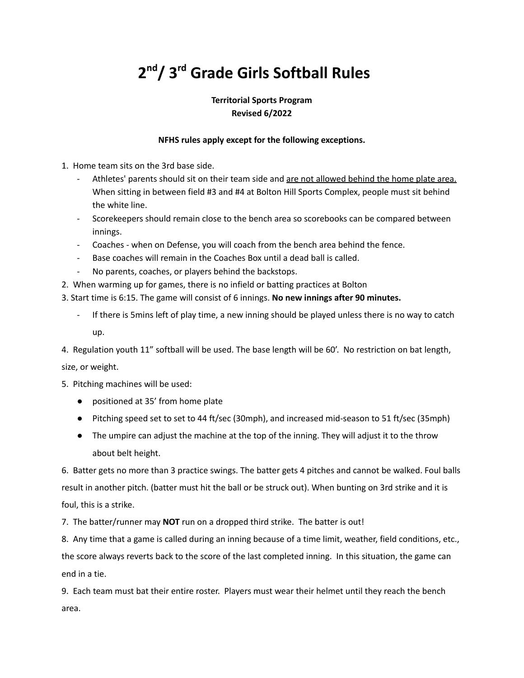# **2 nd/ 3 rd Grade Girls Softball Rules**

### **Territorial Sports Program Revised 6/2022**

### **NFHS rules apply except for the following exceptions.**

- 1. Home team sits on the 3rd base side.
	- Athletes' parents should sit on their team side and are not allowed behind the home plate area. When sitting in between field #3 and #4 at Bolton Hill Sports Complex, people must sit behind the white line.
	- Scorekeepers should remain close to the bench area so scorebooks can be compared between innings.
	- Coaches when on Defense, you will coach from the bench area behind the fence.
	- Base coaches will remain in the Coaches Box until a dead ball is called.
	- No parents, coaches, or players behind the backstops.
- 2. When warming up for games, there is no infield or batting practices at Bolton

3. Start time is 6:15. The game will consist of 6 innings. **No new innings after 90 minutes.**

If there is 5mins left of play time, a new inning should be played unless there is no way to catch up.

4. Regulation youth 11" softball will be used. The base length will be 60'. No restriction on bat length,

size, or weight.

- 5. Pitching machines will be used:
	- positioned at 35' from home plate
	- Pitching speed set to set to 44 ft/sec (30mph), and increased mid-season to 51 ft/sec (35mph)
	- The umpire can adjust the machine at the top of the inning. They will adjust it to the throw about belt height.

6. Batter gets no more than 3 practice swings. The batter gets 4 pitches and cannot be walked. Foul balls result in another pitch. (batter must hit the ball or be struck out). When bunting on 3rd strike and it is foul, this is a strike.

7. The batter/runner may **NOT** run on a dropped third strike. The batter is out!

8. Any time that a game is called during an inning because of a time limit, weather, field conditions, etc., the score always reverts back to the score of the last completed inning. In this situation, the game can end in a tie.

9. Each team must bat their entire roster. Players must wear their helmet until they reach the bench area.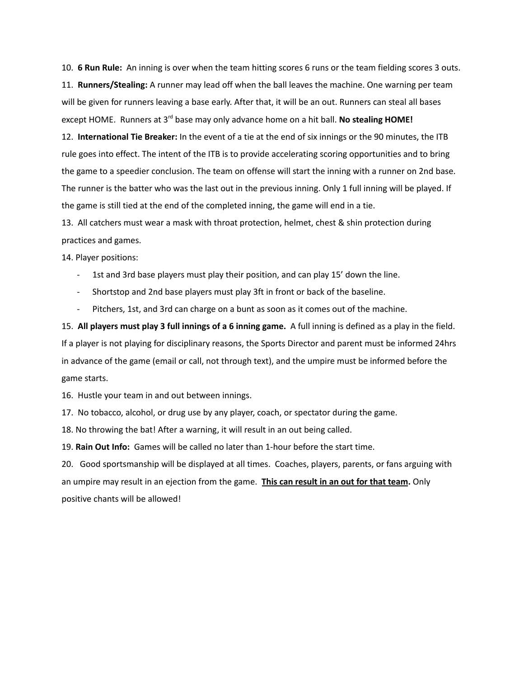10. **6 Run Rule:** An inning is over when the team hitting scores 6 runs or the team fielding scores 3 outs. 11. **Runners/Stealing:** A runner may lead off when the ball leaves the machine. One warning per team will be given for runners leaving a base early. After that, it will be an out. Runners can steal all bases except HOME. Runners at 3<sup>rd</sup> base may only advance home on a hit ball. No stealing HOME!

12. **International Tie Breaker:** In the event of a tie at the end of six innings or the 90 minutes, the ITB rule goes into effect. The intent of the ITB is to provide accelerating scoring opportunities and to bring the game to a speedier conclusion. The team on offense will start the inning with a runner on 2nd base. The runner is the batter who was the last out in the previous inning. Only 1 full inning will be played. If the game is still tied at the end of the completed inning, the game will end in a tie.

13. All catchers must wear a mask with throat protection, helmet, chest & shin protection during practices and games.

14. Player positions:

- 1st and 3rd base players must play their position, and can play 15' down the line.
- Shortstop and 2nd base players must play 3ft in front or back of the baseline.
- Pitchers, 1st, and 3rd can charge on a bunt as soon as it comes out of the machine.

15. **All players must play 3 full innings of a 6 inning game.** A full inning is defined as a play in the field. If a player is not playing for disciplinary reasons, the Sports Director and parent must be informed 24hrs in advance of the game (email or call, not through text), and the umpire must be informed before the game starts.

16. Hustle your team in and out between innings.

17. No tobacco, alcohol, or drug use by any player, coach, or spectator during the game.

18. No throwing the bat! After a warning, it will result in an out being called.

19. **Rain Out Info:** Games will be called no later than 1-hour before the start time.

20. Good sportsmanship will be displayed at all times. Coaches, players, parents, or fans arguing with an umpire may result in an ejection from the game. **This can result in an out for that team.** Only positive chants will be allowed!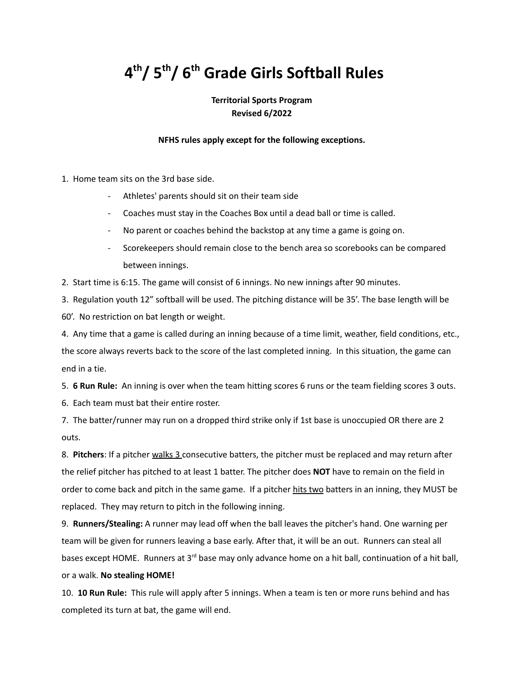## **4 th/ 5 th/ 6 th Grade Girls Softball Rules**

### **Territorial Sports Program Revised 6/2022**

#### **NFHS rules apply except for the following exceptions.**

1. Home team sits on the 3rd base side.

- Athletes' parents should sit on their team side
- Coaches must stay in the Coaches Box until a dead ball or time is called.
- No parent or coaches behind the backstop at any time a game is going on.
- Scorekeepers should remain close to the bench area so scorebooks can be compared between innings.

2. Start time is 6:15. The game will consist of 6 innings. No new innings after 90 minutes.

3. Regulation youth 12" softball will be used. The pitching distance will be 35'. The base length will be 60'. No restriction on bat length or weight.

4. Any time that a game is called during an inning because of a time limit, weather, field conditions, etc., the score always reverts back to the score of the last completed inning. In this situation, the game can end in a tie.

5. **6 Run Rule:** An inning is over when the team hitting scores 6 runs or the team fielding scores 3 outs.

6. Each team must bat their entire roster.

7. The batter/runner may run on a dropped third strike only if 1st base is unoccupied OR there are 2 outs.

8. **Pitchers**: If a pitcher walks 3 consecutive batters, the pitcher must be replaced and may return after the relief pitcher has pitched to at least 1 batter. The pitcher does **NOT** have to remain on the field in order to come back and pitch in the same game. If a pitcher hits two batters in an inning, they MUST be replaced. They may return to pitch in the following inning.

9. **Runners/Stealing:** A runner may lead off when the ball leaves the pitcher's hand. One warning per team will be given for runners leaving a base early. After that, it will be an out. Runners can steal all bases except HOME. Runners at 3<sup>rd</sup> base may only advance home on a hit ball, continuation of a hit ball, or a walk. **No stealing HOME!**

10. **10 Run Rule:** This rule will apply after 5 innings. When a team is ten or more runs behind and has completed its turn at bat, the game will end.